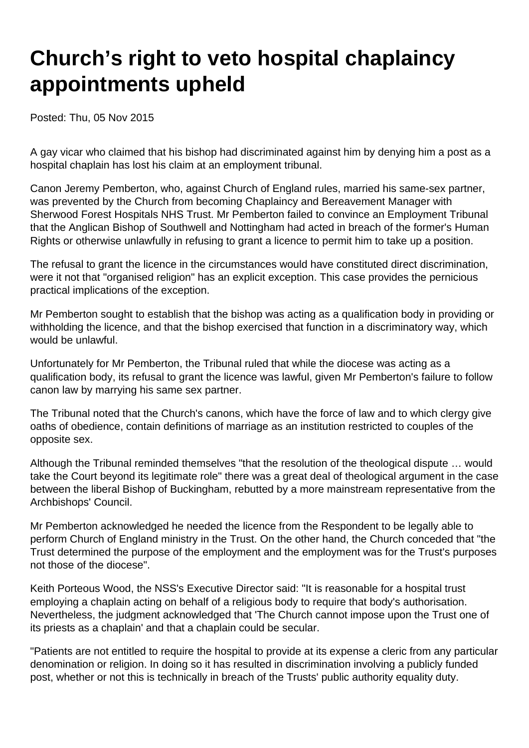## **Church's right to veto hospital chaplaincy appointments upheld**

Posted: Thu, 05 Nov 2015

A gay vicar who claimed that his bishop had discriminated against him by denying him a post as a hospital chaplain has lost his claim at an employment tribunal.

Canon Jeremy Pemberton, who, against Church of England rules, married his same-sex partner, was prevented by the Church from becoming Chaplaincy and Bereavement Manager with Sherwood Forest Hospitals NHS Trust. Mr Pemberton failed to convince an Employment Tribunal that the Anglican Bishop of Southwell and Nottingham had acted in breach of the former's Human Rights or otherwise unlawfully in refusing to grant a licence to permit him to take up a position.

The refusal to grant the licence in the circumstances would have constituted direct discrimination, were it not that "organised religion" has an explicit exception. This case provides the pernicious practical implications of the exception.

Mr Pemberton sought to establish that the bishop was acting as a qualification body in providing or withholding the licence, and that the bishop exercised that function in a discriminatory way, which would be unlawful.

Unfortunately for Mr Pemberton, the Tribunal ruled that while the diocese was acting as a qualification body, its refusal to grant the licence was lawful, given Mr Pemberton's failure to follow canon law by marrying his same sex partner.

The Tribunal noted that the Church's canons, which have the force of law and to which clergy give oaths of obedience, contain definitions of marriage as an institution restricted to couples of the opposite sex.

Although the Tribunal reminded themselves "that the resolution of the theological dispute … would take the Court beyond its legitimate role" there was a great deal of theological argument in the case between the liberal Bishop of Buckingham, rebutted by a more mainstream representative from the Archbishops' Council.

Mr Pemberton acknowledged he needed the licence from the Respondent to be legally able to perform Church of England ministry in the Trust. On the other hand, the Church conceded that "the Trust determined the purpose of the employment and the employment was for the Trust's purposes not those of the diocese".

Keith Porteous Wood, the NSS's Executive Director said: "It is reasonable for a hospital trust employing a chaplain acting on behalf of a religious body to require that body's authorisation. Nevertheless, the judgment acknowledged that 'The Church cannot impose upon the Trust one of its priests as a chaplain' and that a chaplain could be secular.

"Patients are not entitled to require the hospital to provide at its expense a cleric from any particular denomination or religion. In doing so it has resulted in discrimination involving a publicly funded post, whether or not this is technically in breach of the Trusts' public authority equality duty.